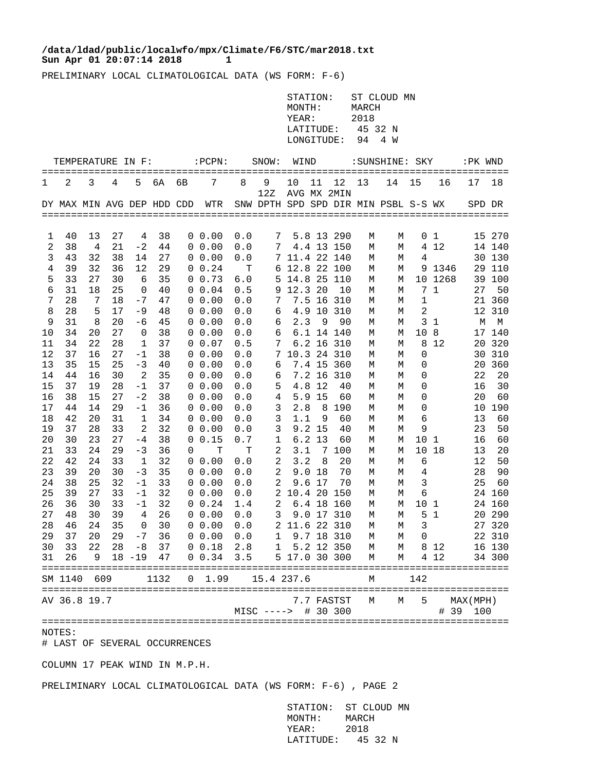## Sun Apr 01 20:07:14 2018 1 **/data/ldad/public/localwfo/mpx/Climate/F6/STC/mar2018.txt**

PRELIMINARY LOCAL CLIMATOLOGICAL DATA (WS FORM: F-6)

|                |                            |          | STATION:<br>MONTH:<br>YEAR: |                               |          |              |                            |            |                                      | ST CLOUD MN<br>MARCH<br>2018 |               |                          |               |                 |                 |                |             |                       |
|----------------|----------------------------|----------|-----------------------------|-------------------------------|----------|--------------|----------------------------|------------|--------------------------------------|------------------------------|---------------|--------------------------|---------------|-----------------|-----------------|----------------|-------------|-----------------------|
|                |                            |          |                             |                               |          |              |                            |            |                                      | LATITUDE:<br>LONGITUDE:      |               |                          | 45 32 N<br>94 | 4 W             |                 |                |             |                       |
|                | TEMPERATURE IN F:          |          |                             |                               |          |              | $:$ $PCPN:$                |            | SNOW:                                | WIND                         |               |                          |               | : SUNSHINE: SKY |                 |                | :PK WND     |                       |
| 1              | 2                          | 3        | 4                           | 5                             | 6A       | 6В           | 7                          | 8          | 9                                    | 10                           | 11            | 12                       | 13            | 14              | 15              | 16             | 17          | 18                    |
|                |                            |          |                             |                               |          |              |                            |            | 12Z                                  | AVG MX 2MIN                  |               |                          |               |                 |                 |                |             |                       |
|                | DY MAX MIN AVG DEP HDD CDD |          |                             |                               |          |              | WTR                        |            | SNW DPTH SPD SPD DIR MIN PSBL S-S WX |                              |               |                          |               |                 |                 |                | SPD DR      |                       |
|                |                            |          |                             |                               |          |              |                            |            |                                      |                              |               |                          |               |                 |                 |                |             |                       |
| 1              | 40                         | 13       | 27                          | 4                             | 38       |              | $0\;\;0.00$                | $0.0$      | 7                                    |                              |               | 5.8 13 290               | М             | М               |                 | 0 <sub>1</sub> |             | 15 270                |
| $\overline{c}$ | 38                         | 4        | 21                          | $-2$                          | 44       |              | 0 0.00                     | 0.0        | 7                                    |                              |               | 4.4 13 150               | М             | М               |                 | 4 12           |             | 14 140                |
| 3              | 43                         | 32       | 38                          | 14                            | 27       | 0            | 0.00                       | 0.0        |                                      | 7 11.4 22 140                |               |                          | М             | М               | 4               |                |             | 30 130                |
| 4              | 39                         | 32       | 36                          | 12                            | 29       |              | 0 0.24                     | Т          |                                      | 6 12.8 22 100                |               |                          | М             | М               |                 | 9 1346         |             | 29 110                |
| 5              | 33                         | 27       | 30                          | 6                             | 35       |              | 0 0.73                     | 6.0        |                                      | 5 14.8 25 110                |               |                          | М             | М               |                 | 10 1268        |             | 39 100                |
| 6              | 31                         | 18       | 25                          | 0                             | 40       | 0            | 0.04                       | 0.5        |                                      | 9 12.3 20                    |               | 10                       | М             | М               |                 | 7 <sub>1</sub> | 27          | 50                    |
| 7<br>8         | 28<br>28                   | 7<br>5   | 18<br>17                    | $-7$<br>$-9$                  | 47<br>48 | 0<br>0       | 0.00<br>0.00               | 0.0        | 7<br>6                               |                              |               | 7.5 16 310<br>4.9 10 310 | М             | М               | 1<br>2          |                |             | 21 360                |
| 9              | 31                         | 8        | 20                          | -6                            | 45       |              | 0 0.00                     | 0.0<br>0.0 | 6                                    | 2.3                          | 9             | 90                       | М<br>М        | М<br>М          |                 | 3 <sub>1</sub> | М           | 12 310<br>$M_{\odot}$ |
| 10             | 34                         | 20       | 27                          | 0                             | 38       |              | $0\;\;0.00$                | 0.0        | 6                                    |                              |               | 6.1 14 140               | М             | М               | 10 <sub>8</sub> |                |             | 17 140                |
| 11             | 34                         | 22       | 28                          | 1                             | 37       |              | 0 0.07                     | 0.5        | 7                                    |                              |               | 6.2 16 310               | М             | М               | 8               | - 12           |             | 20 320                |
| 12             | 37                         | 16       | 27                          | $-1$                          | 38       |              | 0 0.00                     | 0.0        |                                      | 7 10.3 24 310                |               |                          | М             | М               | $\mathsf 0$     |                |             | 30 310                |
| 13             | 35                         | 15       | 25                          | $-3$                          | 40       | 0            | 0.00                       | 0.0        | 6                                    |                              |               | 7.4 15 360               | М             | М               | 0               |                |             | 20 360                |
| 14             | 44                         | 16       | 30                          | $\overline{c}$                | 35       | 0            | 0.00                       | 0.0        | 6                                    |                              |               | 7.2 16 310               | М             | М               | 0               |                | 22          | 20                    |
| 15             | 37                         | 19       | 28                          | $-1$                          | 37       | 0            | 0.00                       | 0.0        | 5                                    |                              | 4.8 12        | 40                       | М             | М               | 0               |                | 16          | 30                    |
| 16             | 38                         | 15       | 27                          | $-2$                          | 38       | 0            | 0.00                       | 0.0        | 4                                    |                              | 5.9 15        | 60                       | М             | М               | 0               |                | 20          | 60                    |
| 17             | 44                         | 14       | 29                          | -1                            | 36       | 0            | 0.00                       | 0.0        | 3                                    | 2.8                          |               | 8 1 9 0                  | М             | М               | 0               |                |             | 10 190                |
| 18<br>19       | 42<br>37                   | 20<br>28 | 31<br>33                    | $\mathbf 1$<br>$\overline{2}$ | 34<br>32 | 0<br>0       | 0.00<br>0.00               | 0.0<br>0.0 | 3<br>3                               | 1.1                          | 9<br>$9.2$ 15 | 60<br>40                 | М<br>М        | М<br>М          | 6<br>9          |                | 13<br>23    | 60<br>50              |
| 20             | 30                         | 23       | 27                          | $-4$                          | 38       | 0            | 0.15                       | 0.7        | $\mathbf{1}$                         |                              | $6.2$ 13      | 60                       | М             | М               | 10 <sub>1</sub> |                | 16          | 60                    |
| 21             | 33                         | 24       | 29                          | $-3$                          | 36       | 0            | т                          | Т          | 2                                    | 3.1                          |               | 7 100                    | М             | М               | 10 18           |                | 13          | 20                    |
| 22             | 42                         | 24       | 33                          | $\mathbf{1}$                  | 32       |              | 0 0.00                     | 0.0        | $\overline{c}$                       | 3.2                          | 8             | 20                       | М             | М               | 6               |                | 12          | 50                    |
| 23             | 39                         | 20       | 30                          | $-3$                          | 35       |              | 0 0.00                     | 0.0        | 2                                    |                              | 9.0 18        | 70                       | М             | М               | 4               |                | 28          | 90                    |
| 24             | 38                         | 25       | 32                          | $-1$                          | 33       |              | 0 0.00                     | 0.0        | 2                                    |                              | 9.6 17        | 70                       | М             | М               | 3               |                | 25          | 60                    |
| 25             | 39                         | 27       | 33                          | $-1$                          | 32       |              | 0 0.00                     | 0.0        |                                      | 2 10.4 20 150                |               |                          | М             | М               | 6               |                |             | 24 160                |
| 26             | 36                         | 30       | 33                          | $-1$                          | 32       |              | 0 0.24                     | 1.4        | 2                                    |                              |               | 6.4 18 160               | М             | М               | 101             |                |             | 24 160                |
| 27<br>28       | 48<br>46                   | 30<br>24 | 39<br>35                    | $\overline{4}$                | 26<br>30 |              | 0 0.00<br>$0\;\;0\;\;0\;0$ | 0.0        | 3<br>2 11.6 22 310                   |                              |               | 9.0 17 310               | М             | М               | 5<br>3          | $\mathbf{1}$   |             | 20 290<br>27 320      |
| 29             | 37                         | 20       |                             | $\overline{0}$<br>$29 - 7$    | 36       |              | 0 0.00                     | 0.0<br>0.0 | 1                                    | 9.7 18 310                   |               |                          | М<br>М        | М<br>Μ          | 0               |                |             | 22 310                |
| 30             | 33                         | 22       |                             | $28 - 8$                      | 37       |              | 0 0.18                     | 2.8        | $\mathbf{1}$                         |                              |               | 5.2 12 350               | М             | М               |                 | 8 1 2          |             | 16 130                |
| 31             | 26                         | 9        |                             | $18 - 19$ 47                  |          |              | 0 0.34                     | 3.5        |                                      | 5 17.0 30 300                |               |                          | М             | М               |                 | 4 12           |             | 34 300                |
|                | SM 1140 609                |          |                             |                               | 1132     | $\mathbf{0}$ | 1.99                       |            | 15.4 237.6                           |                              |               |                          | М             |                 | 142             |                |             |                       |
|                | AV 36.8 19.7               |          |                             |                               |          |              |                            |            |                                      |                              |               | 7.7 FASTST               | М             | М               | 5               |                | MAX (MPH)   |                       |
|                |                            |          |                             |                               |          |              |                            |            | MISC ----> # 30 300                  |                              |               |                          |               |                 |                 |                | # 39<br>100 |                       |
|                |                            |          |                             |                               |          |              |                            |            |                                      |                              |               |                          |               |                 |                 |                |             |                       |

NOTES:

# LAST OF SEVERAL OCCURRENCES

COLUMN 17 PEAK WIND IN M.P.H.

PRELIMINARY LOCAL CLIMATOLOGICAL DATA (WS FORM: F-6) , PAGE 2

 STATION: ST CLOUD MN MONTH: MARCH YEAR: 2018 LATITUDE: 45 32 N